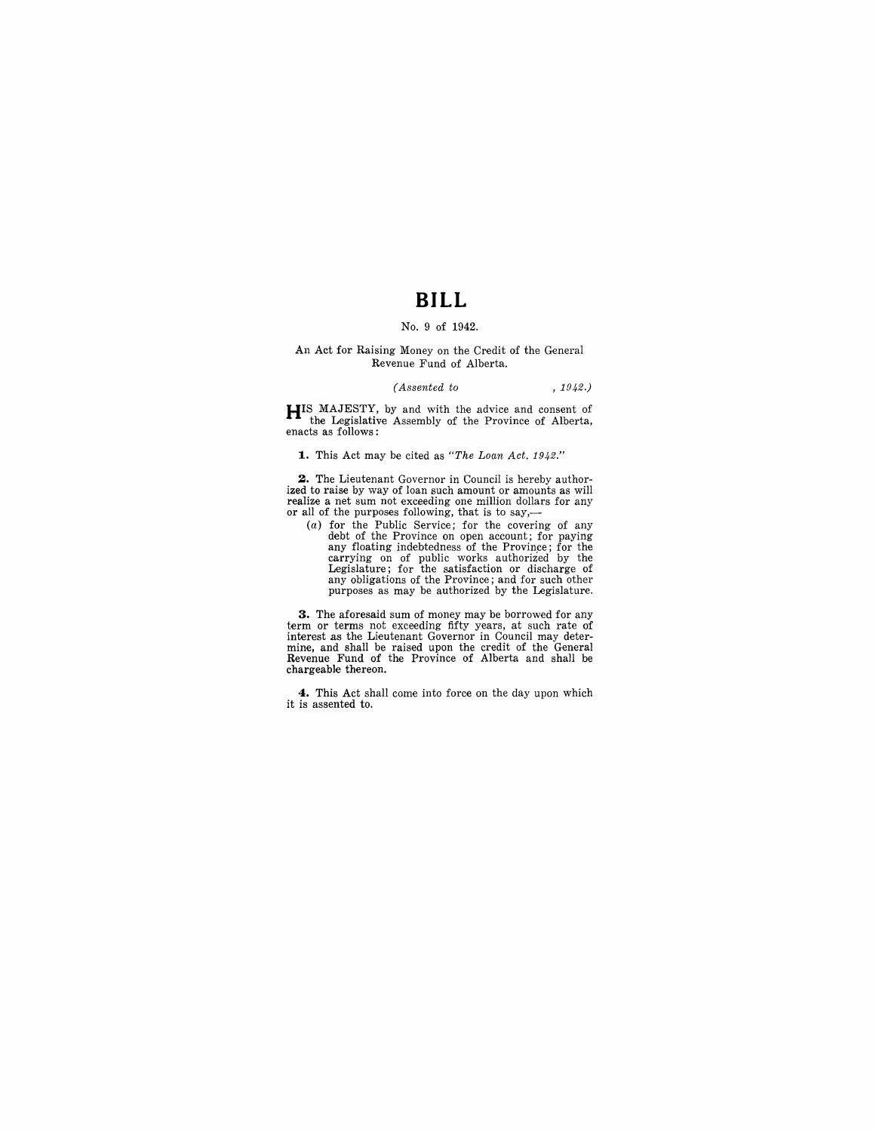# **BILL**

### No.9 of 1942.

#### An Act for Raising Money on the Credit of the General Revenue Fund of Alberta.

#### *(Assented to* , 1942.)

**HIS** MAJESTY, by and with the advice and consent of the Legislative Assembly of the Province of Alberta, enacts as follows:

**1.** This Act may be cited as *"The Loan Act. 1942."* 

**2.** The Lieutenant Governor in Council is hereby authorized to raise by way of loan such amount or amounts as will realize a net sum not exceeding one million dollars for any or all of the purposes following, that is to say,—

(a) for the Public Service; for the covering of any debt of the Province on open account; for paying any floating indebtedness of the Province; for the carrying on of public works authorized by the Legislature; for the satisfaction or discharge of any obligations of the Province; and for such other purposes as may be authorized by the Legislature.

**3.** The aforesaid sum of money may be borrowed for any term or terms not exceeding fifty years, at such rate of interest as the Lieutenant Governor in Council may deter-mine, and shall be raised upon the credit of the General Revenue Fund of the Province of Alberta and shall be chargeable thereon.

**4.** This Act shall come into force on the day upon which it is assented to.